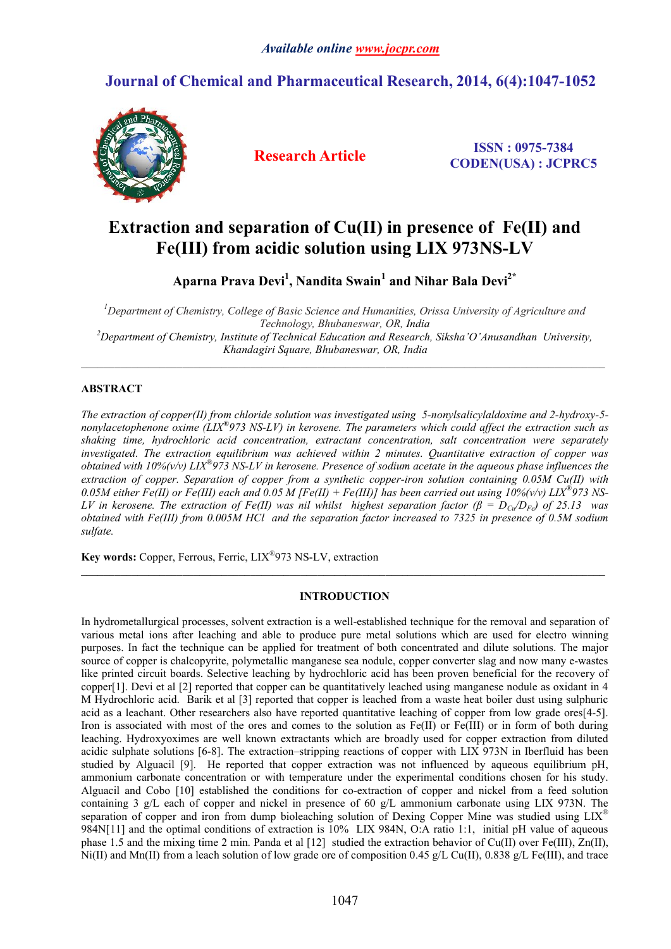# **Journal of Chemical and Pharmaceutical Research, 2014, 6(4):1047-1052**



**Research Article ISSN : 0975-7384 CODEN(USA) : JCPRC5**

# **Extraction and separation of Cu(II) in presence of Fe(II) and Fe(III) from acidic solution using LIX 973NS-LV**

**Aparna Prava Devi1 , Nandita Swain<sup>1</sup> and Nihar Bala Devi2\***

*1 Department of Chemistry, College of Basic Science and Humanities, Orissa University of Agriculture and Technology, Bhubaneswar, OR, India <sup>2</sup> Department of Chemistry, Institute of Technical Education and Research, Siksha'O'Anusandhan University, Khandagiri Square, Bhubaneswar, OR, India*

 $\_$  ,  $\_$  ,  $\_$  ,  $\_$  ,  $\_$  ,  $\_$  ,  $\_$  ,  $\_$  ,  $\_$  ,  $\_$  ,  $\_$  ,  $\_$  ,  $\_$  ,  $\_$  ,  $\_$  ,  $\_$  ,  $\_$  ,  $\_$  ,  $\_$  ,  $\_$  ,  $\_$  ,  $\_$  ,  $\_$  ,  $\_$  ,  $\_$  ,  $\_$  ,  $\_$  ,  $\_$  ,  $\_$  ,  $\_$  ,  $\_$  ,  $\_$  ,  $\_$  ,  $\_$  ,  $\_$  ,  $\_$  ,  $\_$  ,

# **ABSTRACT**

*The extraction of copper(II) from chloride solution was investigated using 5-nonylsalicylaldoxime and 2-hydroxy-5 nonylacetophenone oxime (LIX®973 NS-LV) in kerosene. The parameters which could affect the extraction such as shaking time, hydrochloric acid concentration, extractant concentration, salt concentration were separately investigated. The extraction equilibrium was achieved within 2 minutes. Quantitative extraction of copper was obtained with 10%(v/v) LIX®973 NS-LV in kerosene. Presence of sodium acetate in the aqueous phase influences the extraction of copper. Separation of copper from a synthetic copper-iron solution containing 0.05M Cu(II) with 0.05M either Fe(II) or Fe(III) each and 0.05 M [Fe(II) + Fe(III)] has been carried out using 10%(v/v) LIX®973 NS-LV in kerosene. The extraction of Fe(II) was nil whilst highest separation factor (β = DCu/DFe) of 25.13 was obtained with Fe(III) from 0.005M HCl and the separation factor increased to 7325 in presence of 0.5M sodium sulfate.*

**Key words:** Copper, Ferrous, Ferric, LIX®973 NS-LV, extraction

# **INTRODUCTION**

 $\_$  ,  $\_$  ,  $\_$  ,  $\_$  ,  $\_$  ,  $\_$  ,  $\_$  ,  $\_$  ,  $\_$  ,  $\_$  ,  $\_$  ,  $\_$  ,  $\_$  ,  $\_$  ,  $\_$  ,  $\_$  ,  $\_$  ,  $\_$  ,  $\_$  ,  $\_$  ,  $\_$  ,  $\_$  ,  $\_$  ,  $\_$  ,  $\_$  ,  $\_$  ,  $\_$  ,  $\_$  ,  $\_$  ,  $\_$  ,  $\_$  ,  $\_$  ,  $\_$  ,  $\_$  ,  $\_$  ,  $\_$  ,  $\_$  ,

In hydrometallurgical processes, solvent extraction is a well-established technique for the removal and separation of various metal ions after leaching and able to produce pure metal solutions which are used for electro winning purposes. In fact the technique can be applied for treatment of both concentrated and dilute solutions. The major source of copper is chalcopyrite, polymetallic manganese sea nodule, copper converter slag and now many e-wastes like printed circuit boards. Selective leaching by hydrochloric acid has been proven beneficial for the recovery of copper[1]. Devi et al [2] reported that copper can be quantitatively leached using manganese nodule as oxidant in 4 M Hydrochloric acid. Barik et al [3] reported that copper is leached from a waste heat boiler dust using sulphuric acid as a leachant. Other researchers also have reported quantitative leaching of copper from low grade ores[4-5]. Iron is associated with most of the ores and comes to the solution as Fe(II) or Fe(III) or in form of both during leaching. Hydroxyoximes are well known extractants which are broadly used for copper extraction from diluted acidic sulphate solutions [6-8]. The extraction–stripping reactions of copper with LIX 973N in Iberfluid has been studied by Alguacil [9]. He reported that copper extraction was not influenced by aqueous equilibrium pH, ammonium carbonate concentration or with temperature under the experimental conditions chosen for his study. Alguacil and Cobo [10] established the conditions for co-extraction of copper and nickel from a feed solution containing 3 g/L each of copper and nickel in presence of 60 g/L ammonium carbonate using LIX 973N. The separation of copper and iron from dump bioleaching solution of Dexing Copper Mine was studied using LIX<sup>®</sup> 984N[11] and the optimal conditions of extraction is 10% LIX 984N, O:A ratio 1:1, initial pH value of aqueous phase 1.5 and the mixing time 2 min. Panda et al [12] studied the extraction behavior of Cu(II) over Fe(III), Zn(II), Ni(II) and Mn(II) from a leach solution of low grade ore of composition 0.45 g/L Cu(II), 0.838 g/L Fe(III), and trace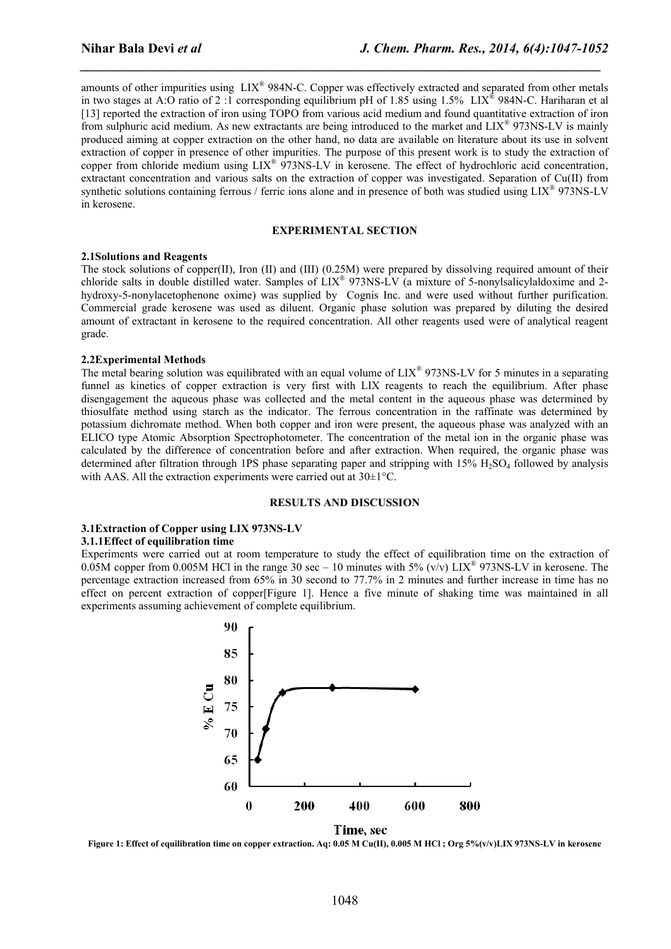amounts of other impurities using LIX® 984N-C. Copper was effectively extracted and separated from other metals in two stages at A:O ratio of 2 :1 corresponding equilibrium pH of 1.85 using 1.5% LIX® 984N-C. Hariharan et al [13] reported the extraction of iron using TOPO from various acid medium and found quantitative extraction of iron from sulphuric acid medium. As new extractants are being introduced to the market and LIX® 973NS-LV is mainly produced aiming at copper extraction on the other hand, no data are available on literature about its use in solvent extraction of copper in presence of other impurities. The purpose of this present work is to study the extraction of copper from chloride medium using LIX® 973NS-LV in kerosene. The effect of hydrochloric acid concentration, extractant concentration and various salts on the extraction of copper was investigated. Separation of Cu(II) from synthetic solutions containing ferrous / ferric ions alone and in presence of both was studied using LIX<sup>®</sup> 973NS-LV in kerosene.

*\_\_\_\_\_\_\_\_\_\_\_\_\_\_\_\_\_\_\_\_\_\_\_\_\_\_\_\_\_\_\_\_\_\_\_\_\_\_\_\_\_\_\_\_\_\_\_\_\_\_\_\_\_\_\_\_\_\_\_\_\_\_\_\_\_\_\_\_\_\_\_\_\_\_\_\_\_*

# **EXPERIMENTAL SECTION**

## **2.1Solutions and Reagents**

The stock solutions of copper(II), Iron (II) and (III) (0.25M) were prepared by dissolving required amount of their chloride salts in double distilled water. Samples of LIX® 973NS-LV (a mixture of 5-nonylsalicylaldoxime and 2 hydroxy-5-nonylacetophenone oxime) was supplied by Cognis Inc. and were used without further purification. Commercial grade kerosene was used as diluent. Organic phase solution was prepared by diluting the desired amount of extractant in kerosene to the required concentration. All other reagents used were of analytical reagent grade.

#### **2.2Experimental Methods**

The metal bearing solution was equilibrated with an equal volume of LIX® 973NS-LV for 5 minutes in a separating funnel as kinetics of copper extraction is very first with LIX reagents to reach the equilibrium. After phase disengagement the aqueous phase was collected and the metal content in the aqueous phase was determined by thiosulfate method using starch as the indicator. The ferrous concentration in the raffinate was determined by potassium dichromate method. When both copper and iron were present, the aqueous phase was analyzed with an ELICO type Atomic Absorption Spectrophotometer. The concentration of the metal ion in the organic phase was calculated by the difference of concentration before and after extraction. When required, the organic phase was determined after filtration through 1PS phase separating paper and stripping with  $15\%$  H<sub>2</sub>SO<sub>4</sub> followed by analysis with AAS. All the extraction experiments were carried out at 30±1°C.

#### **RESULTS AND DISCUSSION**

## **3.1Extraction of Copper using LIX 973NS-LV**

#### **3.1.1Effect of equilibration time**

Experiments were carried out at room temperature to study the effect of equilibration time on the extraction of 0.05M copper from 0.005M HCl in the range 30 sec – 10 minutes with 5% (v/v)  $\text{LIX}^{\textcircled{\tiny{\text{R}}}}$  973NS-LV in kerosene. The percentage extraction increased from 65% in 30 second to 77.7% in 2 minutes and further increase in time has no effect on percent extraction of copper[Figure 1]. Hence a five minute of shaking time was maintained in all experiments assuming achievement of complete equilibrium.



Time, sec

Figure 1: Effect of equilibration time on copper extraction. Aq: 0.05 M Cu(II), 0.005 M HCl; Org 5%(v/v)LIX 973NS-LV in kerosene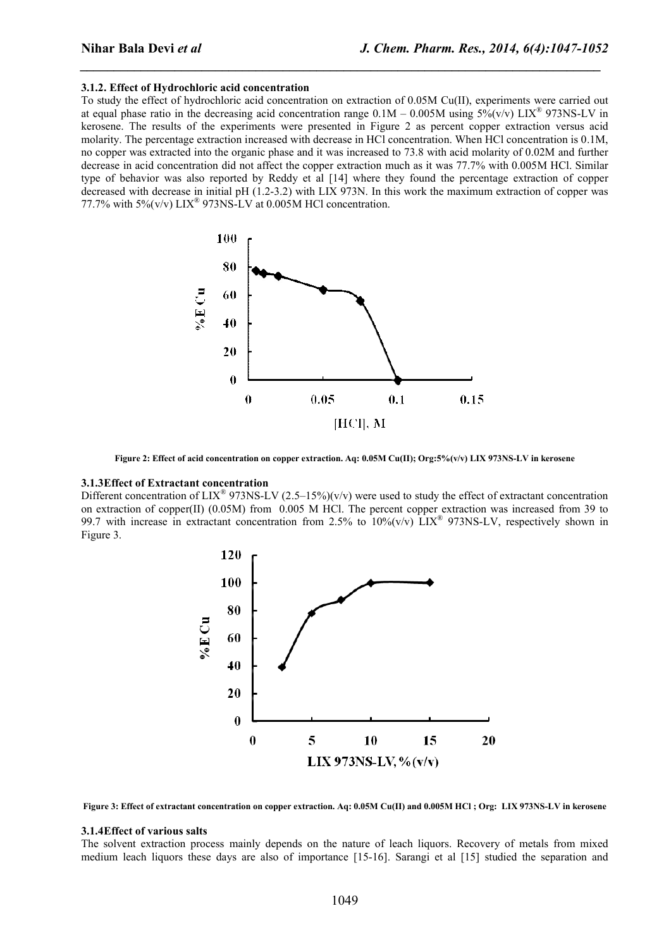### **3.1.2. Effect of Hydrochloric acid concentration**

To study the effect of hydrochloric acid concentration on extraction of 0.05M Cu(II), experiments were carried out at equal phase ratio in the decreasing acid concentration range  $0.1M - 0.005M$  using  $5\% (v/v)$  LIX<sup>®</sup> 973NS-LV in kerosene. The results of the experiments were presented in Figure 2 as percent copper extraction versus acid molarity. The percentage extraction increased with decrease in HCl concentration. When HCl concentration is 0.1M, no copper was extracted into the organic phase and it was increased to 73.8 with acid molarity of 0.02M and further decrease in acid concentration did not affect the copper extraction much as it was 77.7% with 0.005M HCl. Similar type of behavior was also reported by Reddy et al [14] where they found the percentage extraction of copper decreased with decrease in initial pH (1.2-3.2) with LIX 973N. In this work the maximum extraction of copper was 77.7% with 5% $(v/v)$  LIX<sup>®</sup> 973NS-LV at 0.005M HCl concentration.

*\_\_\_\_\_\_\_\_\_\_\_\_\_\_\_\_\_\_\_\_\_\_\_\_\_\_\_\_\_\_\_\_\_\_\_\_\_\_\_\_\_\_\_\_\_\_\_\_\_\_\_\_\_\_\_\_\_\_\_\_\_\_\_\_\_\_\_\_\_\_\_\_\_\_\_\_\_*



**Figure 2: Effect of acid concentration on copper extraction. Aq: 0.05M Cu(II); Org:5%(v/v) LIX 973NS-LV in kerosene**

### **3.1.3Effect of Extractant concentration**

Different concentration of LIX<sup>®</sup> 973NS-LV (2.5–15%)(v/v) were used to study the effect of extractant concentration on extraction of copper(II) (0.05M) from 0.005 M HCl. The percent copper extraction was increased from 39 to 99.7 with increase in extractant concentration from 2.5% to  $10\%$  (v/v) LIX<sup>®</sup> 973NS-LV, respectively shown in Figure 3.



**Figure 3: Effect of extractant concentration on copper extraction. Aq: 0.05M Cu(II) and 0.005M HCl ; Org: LIX 973NS-LV in kerosene**

#### **3.1.4Effect of various salts**

The solvent extraction process mainly depends on the nature of leach liquors. Recovery of metals from mixed medium leach liquors these days are also of importance [15-16]. Sarangi et al [15] studied the separation and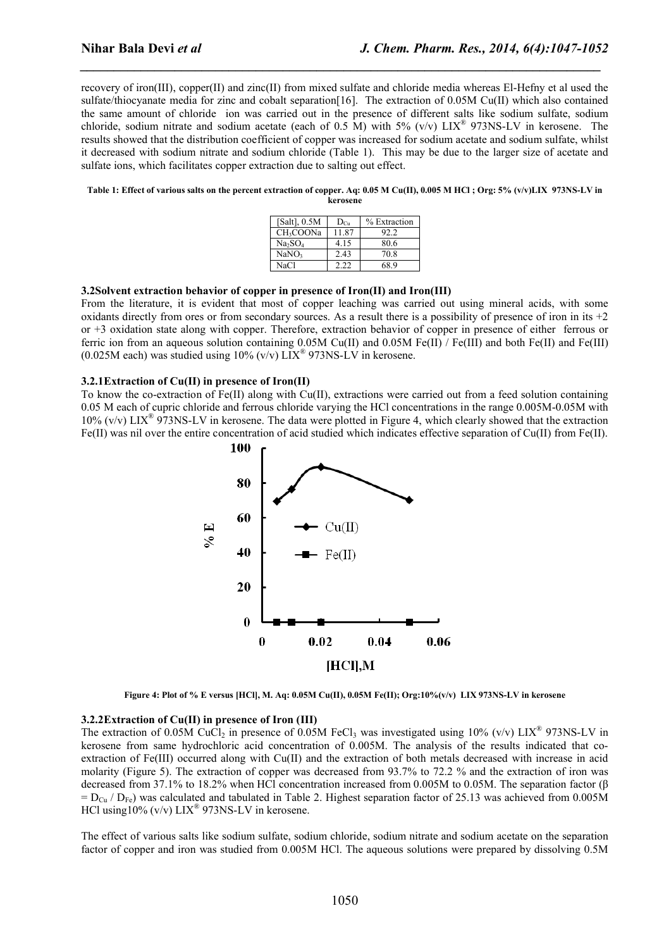recovery of iron(III), copper(II) and zinc(II) from mixed sulfate and chloride media whereas El-Hefny et al used the sulfate/thiocyanate media for zinc and cobalt separation [16]. The extraction of 0.05M Cu(II) which also contained the same amount of chloride ion was carried out in the presence of different salts like sodium sulfate, sodium chloride, sodium nitrate and sodium acetate (each of 0.5 M) with 5% (v/v) LIX® 973NS-LV in kerosene. The results showed that the distribution coefficient of copper was increased for sodium acetate and sodium sulfate, whilst it decreased with sodium nitrate and sodium chloride (Table 1). This may be due to the larger size of acetate and sulfate ions, which facilitates copper extraction due to salting out effect.

*\_\_\_\_\_\_\_\_\_\_\_\_\_\_\_\_\_\_\_\_\_\_\_\_\_\_\_\_\_\_\_\_\_\_\_\_\_\_\_\_\_\_\_\_\_\_\_\_\_\_\_\_\_\_\_\_\_\_\_\_\_\_\_\_\_\_\_\_\_\_\_\_\_\_\_\_\_*

**Table 1: Effect of various salts on the percent extraction of copper. Aq: 0.05 M Cu(II), 0.005 M HCl ; Org: 5% (v/v)LIX 973NS-LV in kerosene**

| [Salt], $0.5M$                  | $D_{Cu}$ | % Extraction |
|---------------------------------|----------|--------------|
| CH <sub>3</sub> COONa           | 1187     | 92.2         |
| Na <sub>2</sub> SO <sub>4</sub> | 4.15     | 80.6         |
| NaNO <sub>3</sub>               | 2.43     | 70.8         |
| NaCl                            | 222      | 68 9         |

#### **3.2Solvent extraction behavior of copper in presence of Iron(II) and Iron(III)**

From the literature, it is evident that most of copper leaching was carried out using mineral acids, with some oxidants directly from ores or from secondary sources. As a result there is a possibility of presence of iron in its  $+2$ or +3 oxidation state along with copper. Therefore, extraction behavior of copper in presence of either ferrous or ferric ion from an aqueous solution containing 0.05M Cu(II) and 0.05M Fe(II) / Fe(III) and both Fe(III) and Fe(III) (0.025M each) was studied using  $10\%$  (v/v) LIX<sup>®</sup> 973NS-LV in kerosene.

## **3.2.1Extraction of Cu(II) in presence of Iron(II)**

To know the co-extraction of Fe(II) along with Cu(II), extractions were carried out from a feed solution containing 0.05 M each of cupric chloride and ferrous chloride varying the HCl concentrations in the range 0.005M-0.05M with  $10\%$  (v/v) LIX<sup>®</sup> 973NS-LV in kerosene. The data were plotted in Figure 4, which clearly showed that the extraction Fe(II) was nil over the entire concentration of acid studied which indicates effective separation of Cu(II) from Fe(II).



**Figure 4: Plot of % E versus [HCl], M. Aq: 0.05M Cu(II), 0.05M Fe(II); Org:10%(v/v) LIX 973NS-LV in kerosene**

#### **3.2.2Extraction of Cu(II) in presence of Iron (III)**

The extraction of 0.05M CuCl<sub>2</sub> in presence of 0.05M FeCl<sub>3</sub> was investigated using 10% (v/v) LIX<sup>®</sup> 973NS-LV in kerosene from same hydrochloric acid concentration of 0.005M. The analysis of the results indicated that coextraction of Fe(III) occurred along with Cu(II) and the extraction of both metals decreased with increase in acid molarity (Figure 5). The extraction of copper was decreased from 93.7% to 72.2 % and the extraction of iron was decreased from 37.1% to 18.2% when HCl concentration increased from 0.005M to 0.05M. The separation factor (β  $= D_{C<sub>U</sub>}$  /  $D_{F<sub>Q</sub>}$ ) was calculated and tabulated in Table 2. Highest separation factor of 25.13 was achieved from 0.005M HCl using  $10\%$  (v/v)  $\text{LIX}^{\text{\textcircled{N}}}$  973NS-LV in kerosene.

The effect of various salts like sodium sulfate, sodium chloride, sodium nitrate and sodium acetate on the separation factor of copper and iron was studied from 0.005M HCl. The aqueous solutions were prepared by dissolving 0.5M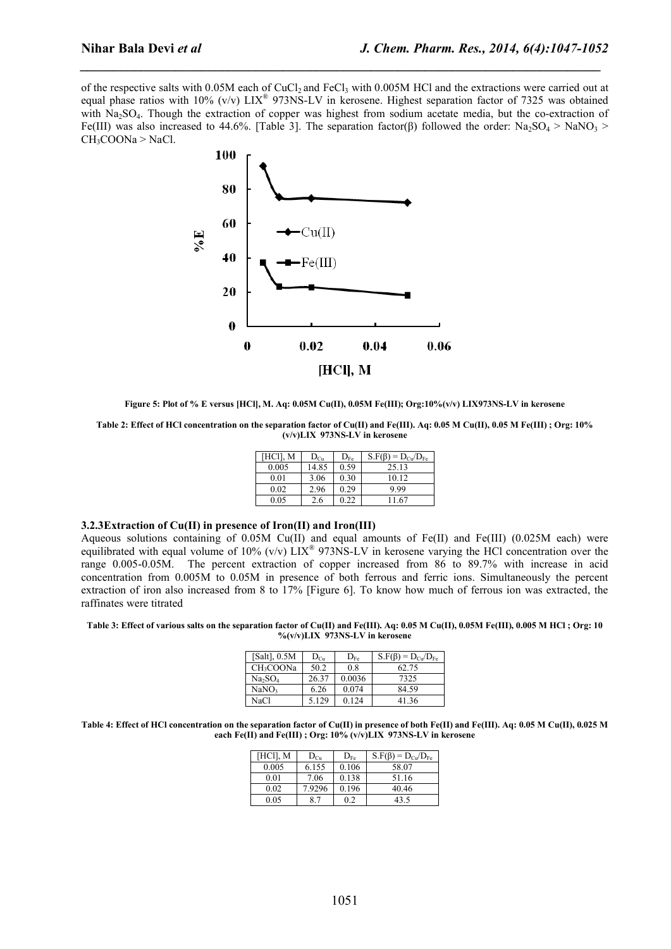of the respective salts with 0.05M each of CuCl<sub>2</sub> and FeCl<sub>3</sub> with 0.005M HCl and the extractions were carried out at equal phase ratios with 10% (v/v) LIX® 973NS-LV in kerosene. Highest separation factor of 7325 was obtained with Na<sub>2</sub>SO<sub>4</sub>. Though the extraction of copper was highest from sodium acetate media, but the co-extraction of Fe(III) was also increased to 44.6%. [Table 3]. The separation factor(β) followed the order: Na<sub>2</sub>SO<sub>4</sub> > NaNO<sub>3</sub> > CH3COONa > NaCl.

*\_\_\_\_\_\_\_\_\_\_\_\_\_\_\_\_\_\_\_\_\_\_\_\_\_\_\_\_\_\_\_\_\_\_\_\_\_\_\_\_\_\_\_\_\_\_\_\_\_\_\_\_\_\_\_\_\_\_\_\_\_\_\_\_\_\_\_\_\_\_\_\_\_\_\_\_\_*



**Figure 5: Plot of % E versus [HCl], M. Aq: 0.05M Cu(II), 0.05M Fe(III); Org:10%(v/v) LIX973NS-LV in kerosene**

**Table 2: Effect of HCl concentration on the separation factor of Cu(II) and Fe(III). Aq: 0.05 M Cu(II), 0.05 M Fe(III) ; Org: 10% (v/v)LIX 973NS-LV in kerosene**

| [HCl], M | $D_{Cu}$ | $D_{Fe}$ | $S.F(\beta) = D_{Cu}/D_{Fe}$ |
|----------|----------|----------|------------------------------|
| 0.005    | 14.85    | 0.59     | 25.13                        |
| 0.01     | 3.06     | 0.30     | 10.12                        |
| 0.02     | 2.96     | 0.29     | 9.99                         |
| 0.05     | -.6      | 22       | 11 67                        |

## **3.2.3Extraction of Cu(II) in presence of Iron(II) and Iron(III)**

Aqueous solutions containing of 0.05M Cu(II) and equal amounts of Fe(II) and Fe(III) (0.025M each) were equilibrated with equal volume of 10% (v/v)  $\text{LIX}^{\text{B}}$  973NS-LV in kerosene varying the HCl concentration over the range 0.005-0.05M. The percent extraction of copper increased from 86 to 89.7% with increase in acid concentration from 0.005M to 0.05M in presence of both ferrous and ferric ions. Simultaneously the percent extraction of iron also increased from 8 to 17% [Figure 6]. To know how much of ferrous ion was extracted, the raffinates were titrated

#### **Table 3: Effect of various salts on the separation factor of Cu(II) and Fe(III). Aq: 0.05 M Cu(II), 0.05M Fe(III), 0.005 M HCl ; Org: 10 %(v/v)LIX 973NS-LV in kerosene**

| [Salt], $0.5M$                  | $D_{Cu}$ | $D_{Fe}$ | $S.F(\beta) = D_{Cu}/D_{Fe}$ |
|---------------------------------|----------|----------|------------------------------|
| CH <sub>3</sub> COONa           | 50.2     | 0.8      | 62.75                        |
| Na <sub>2</sub> SO <sub>4</sub> | 26.37    | 0.0036   | 7325                         |
| NaNO <sub>3</sub>               | 6.26     | 0.074    | 84.59                        |
| NaCl                            | 5.129    | 0.124    | 41.36                        |

**Table 4: Effect of HCl concentration on the separation factor of Cu(II) in presence of both Fe(II) and Fe(III). Aq: 0.05 M Cu(II), 0.025 M each Fe(II) and Fe(III) ; Org: 10% (v/v)LIX 973NS-LV in kerosene**

| [HCl], M | $D_{Cu}$ | $D_{Fe}$ | $S.F(\beta) = D_{Cu}/D_{Fe}$ |
|----------|----------|----------|------------------------------|
| 0.005    | 6.155    | 0.106    | 58.07                        |
| 0.01     | 7.06     | 0.138    | 51.16                        |
| 0.02     | 7.9296   | 0.196    | 40.46                        |
| 0.05     |          |          | 43.5                         |